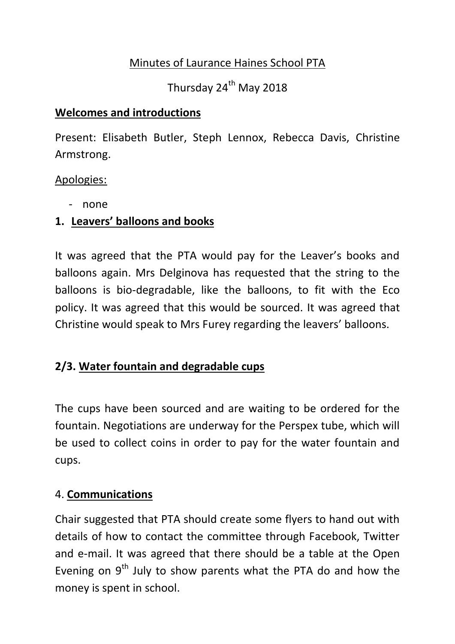### Minutes of Laurance Haines School PTA

Thursday 24<sup>th</sup> May 2018

#### **Welcomes and introductions**

Present: Elisabeth Butler, Steph Lennox, Rebecca Davis, Christine Armstrong.

#### Apologies:

- none

### **1. Leavers' balloons and books**

It was agreed that the PTA would pay for the Leaver's books and balloons again. Mrs Delginova has requested that the string to the balloons is bio-degradable, like the balloons, to fit with the Eco policy. It was agreed that this would be sourced. It was agreed that Christine would speak to Mrs Furey regarding the leavers' balloons.

# **2/3. Water fountain and degradable cups**

The cups have been sourced and are waiting to be ordered for the fountain. Negotiations are underway for the Perspex tube, which will be used to collect coins in order to pay for the water fountain and cups.

### 4. **Communications**

Chair suggested that PTA should create some flyers to hand out with details of how to contact the committee through Facebook, Twitter and e-mail. It was agreed that there should be a table at the Open Evening on  $9<sup>th</sup>$  July to show parents what the PTA do and how the money is spent in school.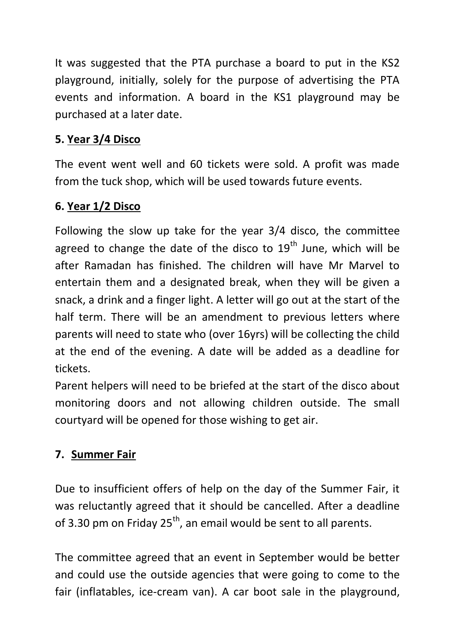It was suggested that the PTA purchase a board to put in the KS2 playground, initially, solely for the purpose of advertising the PTA events and information. A board in the KS1 playground may be purchased at a later date.

### **5. Year 3/4 Disco**

The event went well and 60 tickets were sold. A profit was made from the tuck shop, which will be used towards future events.

### **6. Year 1/2 Disco**

Following the slow up take for the year 3/4 disco, the committee agreed to change the date of the disco to  $19<sup>th</sup>$  June, which will be after Ramadan has finished. The children will have Mr Marvel to entertain them and a designated break, when they will be given a snack, a drink and a finger light. A letter will go out at the start of the half term. There will be an amendment to previous letters where parents will need to state who (over 16yrs) will be collecting the child at the end of the evening. A date will be added as a deadline for tickets.

Parent helpers will need to be briefed at the start of the disco about monitoring doors and not allowing children outside. The small courtyard will be opened for those wishing to get air.

# **7. Summer Fair**

Due to insufficient offers of help on the day of the Summer Fair, it was reluctantly agreed that it should be cancelled. After a deadline of 3.30 pm on Friday  $25<sup>th</sup>$ , an email would be sent to all parents.

The committee agreed that an event in September would be better and could use the outside agencies that were going to come to the fair (inflatables, ice-cream van). A car boot sale in the playground,